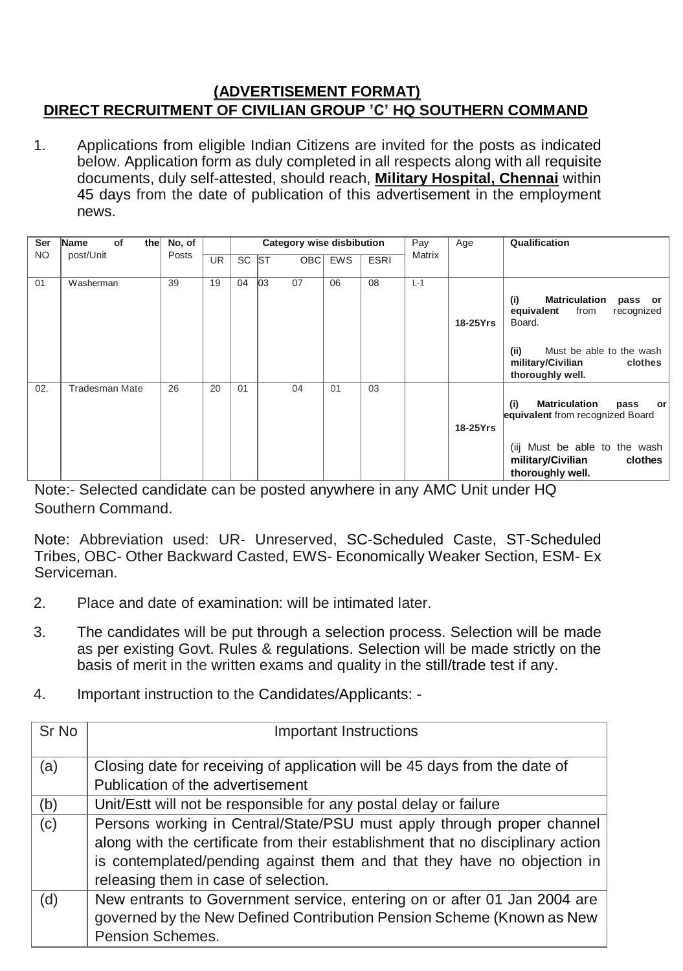## **(ADVERTISEMENT FORMAT) DIRECT RECRUITMENT OF CIVILIAN GROUP 'C' HQ SOUTHERN COMMAND**

1. Applications from eligible Indian Citizens are invited for the posts as indicated below. Application form as duly completed in all respects along with all requisite documents, duly self-attested, should reach, **Military Hospital, Chennai** within 45 days from the date of publication of this advertisement in the employment news.

| Ser       | Name<br>of<br>the     | No, of |           |           | <b>Category wise disbibution</b><br>Pay<br>Age |            |            |             | Qualification |          |                                                                                                                                                                              |
|-----------|-----------------------|--------|-----------|-----------|------------------------------------------------|------------|------------|-------------|---------------|----------|------------------------------------------------------------------------------------------------------------------------------------------------------------------------------|
| <b>NO</b> | post/Unit             | Posts  | <b>UR</b> | <b>SC</b> | <b>ST</b>                                      | <b>OBC</b> | <b>EWS</b> | <b>ESRI</b> | Matrix        |          |                                                                                                                                                                              |
| 01        | Washerman             | 39     | 19        | 04        | 03<br>07                                       |            | 06         | 08          | $L-1$         | 18-25Yrs | (i)<br><b>Matriculation</b><br>pass or<br>from<br>recognized<br>equivalent<br>Board.<br>(ii)<br>Must be able to the wash<br>clothes<br>military/Civilian<br>thoroughly well. |
| 02.       | <b>Tradesman Mate</b> | 26     | 20        | 01        | 04                                             |            | 01         | 03          |               | 18-25Yrs | (i)<br><b>Matriculation</b><br>pass<br>or l<br>equivalent from recognized Board<br>(iij Must be able to the wash<br>military/Civilian<br>clothes<br>thoroughly well.         |

Note:- Selected candidate can be posted anywhere in any AMC Unit under HQ Southern Command.

Note: Abbreviation used: UR- Unreserved, SC-Scheduled Caste, ST-Scheduled Tribes, OBC- Other Backward Casted, EWS- Economically Weaker Section, ESM- Ex Serviceman.

- 2. Place and date of examination: will be intimated later.
- 3. The candidates will be put through a selection process. Selection will be made as per existing Govt. Rules & regulations. Selection will be made strictly on the basis of merit in the written exams and quality in the still/trade test if any.
- 4. Important instruction to the Candidates/Applicants: -

| Sr No | <b>Important Instructions</b>                                                                                                                                                                                                                                                |
|-------|------------------------------------------------------------------------------------------------------------------------------------------------------------------------------------------------------------------------------------------------------------------------------|
| (a)   | Closing date for receiving of application will be 45 days from the date of<br>Publication of the advertisement                                                                                                                                                               |
| (b)   | Unit/Estt will not be responsible for any postal delay or failure                                                                                                                                                                                                            |
| (c)   | Persons working in Central/State/PSU must apply through proper channel<br>along with the certificate from their establishment that no disciplinary action<br>is contemplated/pending against them and that they have no objection in<br>releasing them in case of selection. |
| (d)   | New entrants to Government service, entering on or after 01 Jan 2004 are<br>governed by the New Defined Contribution Pension Scheme (Known as New<br><b>Pension Schemes.</b>                                                                                                 |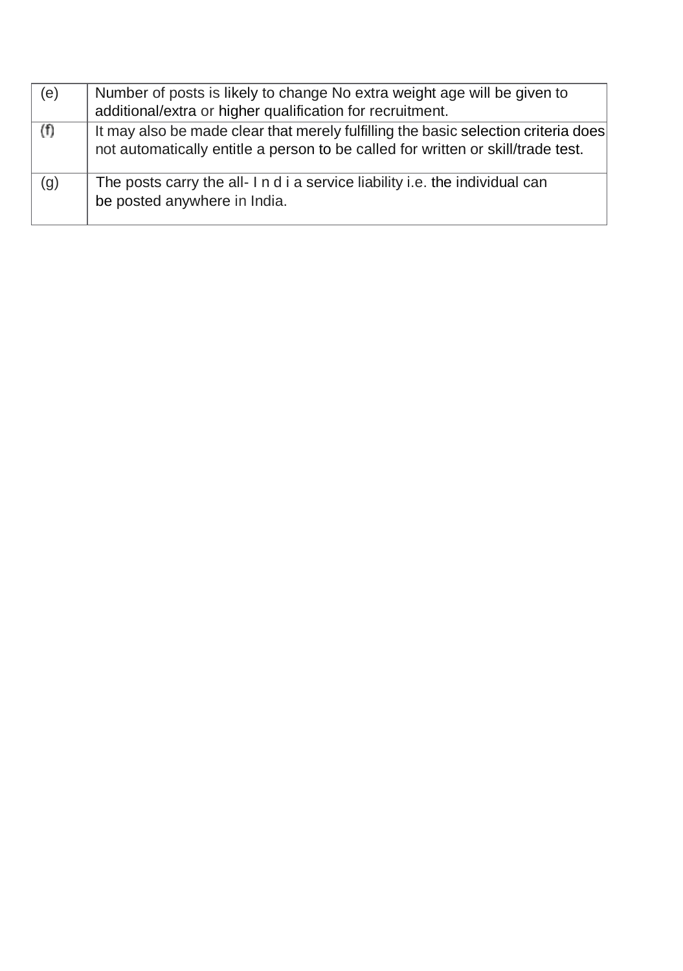| (e) | Number of posts is likely to change No extra weight age will be given to                                                                                               |  |  |  |  |  |
|-----|------------------------------------------------------------------------------------------------------------------------------------------------------------------------|--|--|--|--|--|
|     | additional/extra or higher qualification for recruitment.                                                                                                              |  |  |  |  |  |
| (f) | It may also be made clear that merely fulfilling the basic selection criteria does<br>not automatically entitle a person to be called for written or skill/trade test. |  |  |  |  |  |
| (g) | The posts carry the all- I n d i a service liability i.e. the individual can<br>be posted anywhere in India.                                                           |  |  |  |  |  |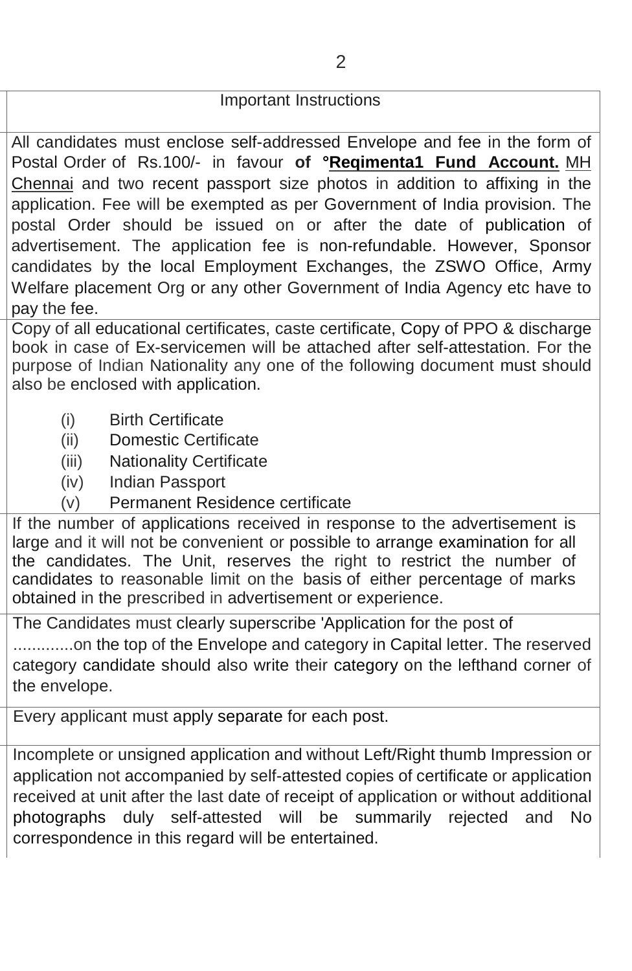## Important Instructions

All candidates must enclose self-addressed Envelope and fee in the form of Postal Order of Rs.100/- in favour **of °Reqimenta1 Fund Account.** MH Chennai and two recent passport size photos in addition to affixing in the application. Fee will be exempted as per Government of India provision. The postal Order should be issued on or after the date of publication of advertisement. The application fee is non-refundable. However, Sponsor candidates by the local Employment Exchanges, the ZSWO Office, Army Welfare placement Org or any other Government of India Agency etc have to pay the fee.

Copy of all educational certificates, caste certificate, Copy of PPO & discharge book in case of Ex-servicemen will be attached after self-attestation. For the purpose of Indian Nationality any one of the following document must should also be enclosed with application.

- (i) Birth Certificate
- (ii) Domestic Certificate
- (iii) Nationality Certificate
- (iv) Indian Passport
- (v) Permanent Residence certificate

If the number of applications received in response to the advertisement is large and it will not be convenient or possible to arrange examination for all the candidates. The Unit, reserves the right to restrict the number of candidates to reasonable limit on the basis of either percentage of marks obtained in the prescribed in advertisement or experience.

The Candidates must clearly superscribe 'Application for the post of .............on the top of the Envelope and category in Capital letter. The reserved category candidate should also write their category on the lefthand corner of the envelope.

Every applicant must apply separate for each post.

Incomplete or unsigned application and without Left/Right thumb Impression or application not accompanied by self-attested copies of certificate or application received at unit after the last date of receipt of application or without additional photographs duly self-attested will be summarily rejected and No correspondence in this regard will be entertained.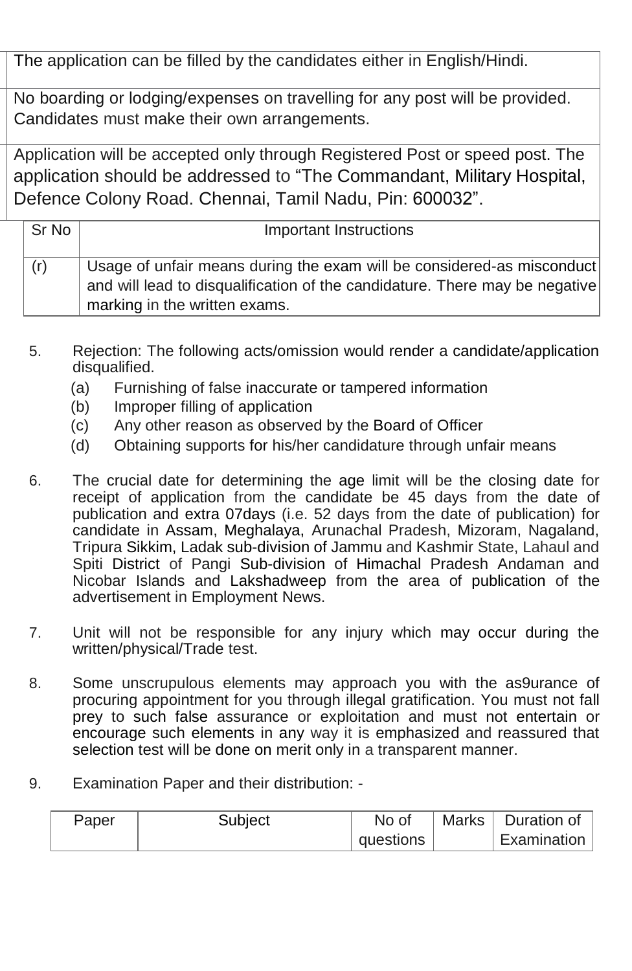The application can be filled by the candidates either in English/Hindi.

No boarding or lodging/expenses on travelling for any post will be provided. Candidates must make their own arrangements.

Application will be accepted only through Registered Post or speed post. The application should be addressed to "The Commandant, Military Hospital, Defence Colony Road. Chennai, Tamil Nadu, Pin: 600032".

| Sr No | Important Instructions                                                                                                                                                                 |
|-------|----------------------------------------------------------------------------------------------------------------------------------------------------------------------------------------|
| (r)   | Usage of unfair means during the exam will be considered-as misconduct<br>and will lead to disqualification of the candidature. There may be negative<br>marking in the written exams. |

- 5. Rejection: The following acts/omission would render a candidate/application disqualified.
	- (a) Furnishing of false inaccurate or tampered information
	- (b) Improper filling of application
	- (c) Any other reason as observed by the Board of Officer
	- (d) Obtaining supports for his/her candidature through unfair means
- 6. The crucial date for determining the age limit will be the closing date for receipt of application from the candidate be 45 days from the date of publication and extra 07days (i.e. 52 days from the date of publication) for candidate in Assam, Meghalaya, Arunachal Pradesh, Mizoram, Nagaland, Tripura Sikkim, Ladak sub-division of Jammu and Kashmir State, Lahaul and Spiti District of Pangi Sub-division of Himachal Pradesh Andaman and Nicobar Islands and Lakshadweep from the area of publication of the advertisement in Employment News.
- 7. Unit will not be responsible for any injury which may occur during the written/physical/Trade test.
- 8. Some unscrupulous elements may approach you with the as9urance of procuring appointment for you through illegal gratification. You must not fall prey to such false assurance or exploitation and must not entertain or encourage such elements in any way it is emphasized and reassured that selection test will be done on merit only in a transparent manner.
- 9. Examination Paper and their distribution: -

| Paper | Subject | No of     | <b>Marks</b> | Duration of               |
|-------|---------|-----------|--------------|---------------------------|
|       |         | questions |              | ⊩Examination <sup>-</sup> |